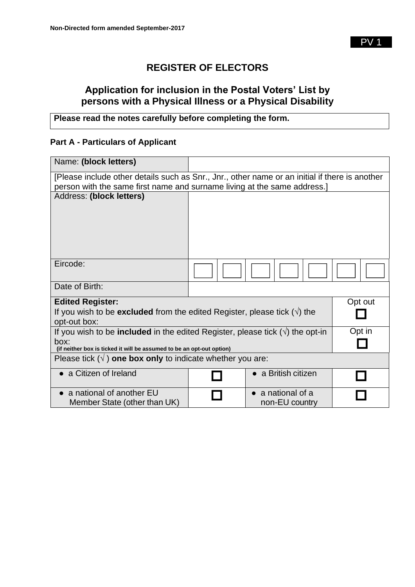## **REGISTER OF ELECTORS**

## **Application for inclusion in the Postal Voters' List by persons with a Physical Illness or a Physical Disability**

## **Please read the notes carefully before completing the form.**

## **Part A - Particulars of Applicant**

| Name: (block letters)                                                                                   |  |                                             |         |
|---------------------------------------------------------------------------------------------------------|--|---------------------------------------------|---------|
| [Please include other details such as Snr., Jnr., other name or an initial if there is another          |  |                                             |         |
| person with the same first name and surname living at the same address.]                                |  |                                             |         |
| Address: (block letters)                                                                                |  |                                             |         |
|                                                                                                         |  |                                             |         |
|                                                                                                         |  |                                             |         |
|                                                                                                         |  |                                             |         |
| Eircode:                                                                                                |  |                                             |         |
| Date of Birth:                                                                                          |  |                                             |         |
| <b>Edited Register:</b>                                                                                 |  |                                             | Opt out |
| If you wish to be <b>excluded</b> from the edited Register, please tick $(\sqrt{})$ the<br>opt-out box: |  |                                             |         |
| If you wish to be <b>included</b> in the edited Register, please tick $(\sqrt{ } )$ the opt-in          |  |                                             | Opt in  |
| box:<br>(if neither box is ticked it will be assumed to be an opt-out option)                           |  |                                             |         |
| Please tick $(\sqrt{})$ one box only to indicate whether you are:                                       |  |                                             |         |
| • a Citizen of Ireland                                                                                  |  | $\bullet$ a British citizen                 |         |
| • a national of another EU<br>Member State (other than UK)                                              |  | $\bullet$ a national of a<br>non-EU country |         |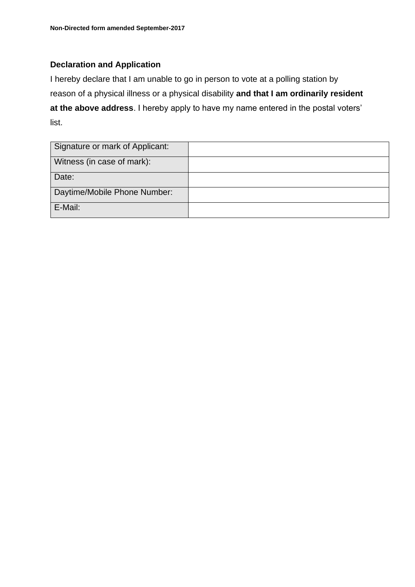## **Declaration and Application**

I hereby declare that I am unable to go in person to vote at a polling station by reason of a physical illness or a physical disability **and that I am ordinarily resident at the above address**. I hereby apply to have my name entered in the postal voters' list.

| Signature or mark of Applicant: |  |
|---------------------------------|--|
| Witness (in case of mark):      |  |
| Date:                           |  |
| Daytime/Mobile Phone Number:    |  |
| E-Mail:                         |  |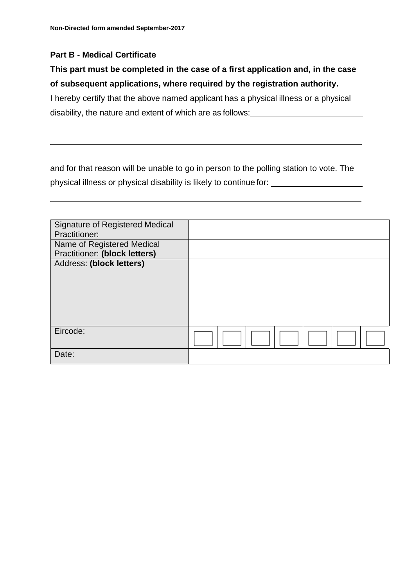## **Part B - Medical Certificate**

## **This part must be completed in the case of a first application and, in the case of subsequent applications, where required by the registration authority.**

I hereby certify that the above named applicant has a physical illness or a physical disability, the nature and extent of which are as follows:

and for that reason will be unable to go in person to the polling station to vote. The physical illness or physical disability is likely to continue for:

| <b>Signature of Registered Medical</b><br><b>Practitioner:</b> |  |
|----------------------------------------------------------------|--|
| Name of Registered Medical                                     |  |
| <b>Practitioner: (block letters)</b>                           |  |
|                                                                |  |
|                                                                |  |
|                                                                |  |
|                                                                |  |
|                                                                |  |
|                                                                |  |
| Eircode:                                                       |  |
|                                                                |  |
| Date:                                                          |  |
| Address: (block letters)                                       |  |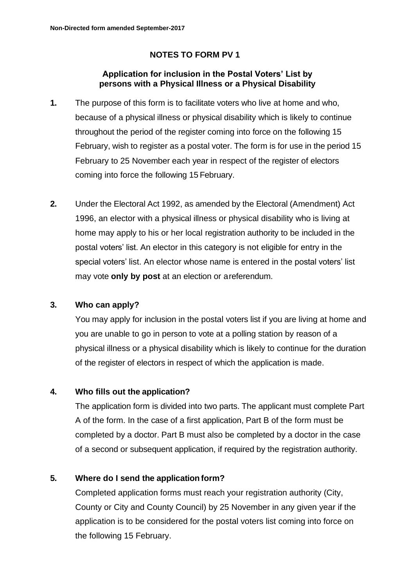## **NOTES TO FORM PV 1**

## **Application for inclusion in the Postal Voters' List by persons with a Physical Illness or a Physical Disability**

- **1.** The purpose of this form is to facilitate voters who live at home and who, because of a physical illness or physical disability which is likely to continue throughout the period of the register coming into force on the following 15 February, wish to register as a postal voter. The form is for use in the period 15 February to 25 November each year in respect of the register of electors coming into force the following 15 February.
- **2.** Under the Electoral Act 1992, as amended by the Electoral (Amendment) Act 1996, an elector with a physical illness or physical disability who is living at home may apply to his or her local registration authority to be included in the postal voters' list. An elector in this category is not eligible for entry in the special voters' list. An elector whose name is entered in the postal voters' list may vote **only by post** at an election or areferendum.

## **3. Who can apply?**

You may apply for inclusion in the postal voters list if you are living at home and you are unable to go in person to vote at a polling station by reason of a physical illness or a physical disability which is likely to continue for the duration of the register of electors in respect of which the application is made.

## **4. Who fills out the application?**

The application form is divided into two parts. The applicant must complete Part A of the form. In the case of a first application, Part B of the form must be completed by a doctor. Part B must also be completed by a doctor in the case of a second or subsequent application, if required by the registration authority.

## **5. Where do I send the application form?**

Completed application forms must reach your registration authority (City, County or City and County Council) by 25 November in any given year if the application is to be considered for the postal voters list coming into force on the following 15 February.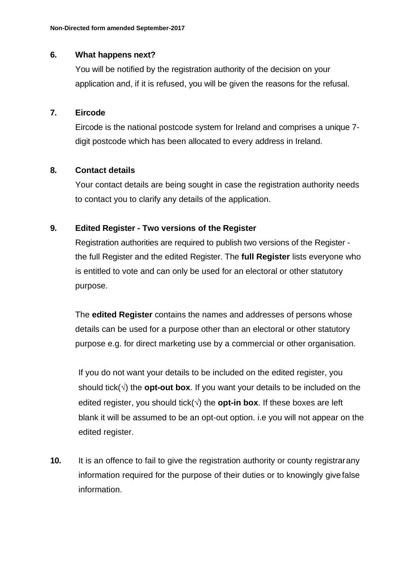#### **6. What happens next?**

You will be notified by the registration authority of the decision on your application and, if it is refused, you will be given the reasons for the refusal.

#### **7. Eircode**

Eircode is the national postcode system for Ireland and comprises a unique 7 digit postcode which has been allocated to every address in Ireland.

### **8. Contact details**

Your contact details are being sought in case the registration authority needs to contact you to clarify any details of the application.

### **9. Edited Register - Two versions of the Register**

Registration authorities are required to publish two versions of the Register the full Register and the edited Register. The **full Register** lists everyone who is entitled to vote and can only be used for an electoral or other statutory purpose.

The **edited Register** contains the names and addresses of persons whose details can be used for a purpose other than an electoral or other statutory purpose e.g. for direct marketing use by a commercial or other organisation.

If you do not want your details to be included on the edited register, you should tick( $\sqrt{ }$ ) the **opt-out box**. If you want your details to be included on the edited register, you should tick( $\sqrt{ }$ ) the **opt-in box**. If these boxes are left blank it will be assumed to be an opt-out option. i.e you will not appear on the edited register.

**10.** It is an offence to fail to give the registration authority or county registrarany information required for the purpose of their duties or to knowingly give false information.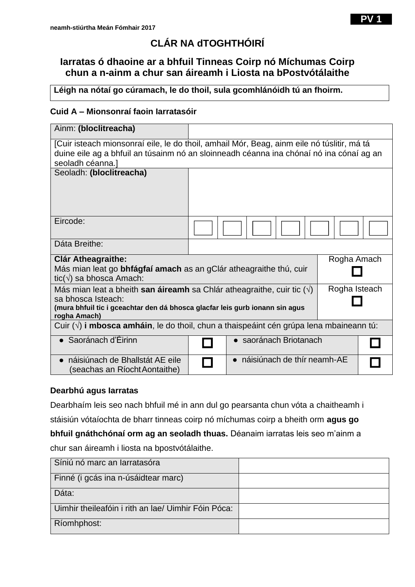# **CLÁR NA dTOGHTHÓIRÍ**

## **Iarratas ó dhaoine ar a bhfuil Tinneas Coirp nó Míchumas Coirp chun a n-ainm a chur san áireamh i Liosta na bPostvótálaithe**

**Léigh na nótaí go cúramach, le do thoil, sula gcomhlánóidh tú an fhoirm.**

## **Cuid A – Mionsonraí faoin Iarratasóir**

| Ainm: (bloclitreacha)                                                                                                                                                                                                      |                             |  |
|----------------------------------------------------------------------------------------------------------------------------------------------------------------------------------------------------------------------------|-----------------------------|--|
| [Cuir isteach mionsonraí eile, le do thoil, amhail Mór, Beag, ainm eile nó túslitir, má tá<br>duine eile ag a bhfuil an túsainm nó an sloinneadh céanna ina chónaí nó ina cónaí ag an<br>seoladh céanna.]                  |                             |  |
| Seoladh: (bloclitreacha)                                                                                                                                                                                                   |                             |  |
| Eircode:                                                                                                                                                                                                                   |                             |  |
| Dáta Breithe:                                                                                                                                                                                                              |                             |  |
| Rogha Amach<br><b>Clár Atheagraithe:</b><br>Más mian leat go <b>bhfágfaí amach</b> as an gClár atheagraithe thú, cuir<br>tic( $\sqrt{ }$ ) sa bhosca Amach:                                                                |                             |  |
| Rogha Isteach<br>Más mian leat a bheith <b>san áireamh</b> sa Chlár atheagraithe, cuir tic $(\sqrt)$<br>sa bhosca Isteach:<br>(mura bhfuil tic i gceachtar den dá bhosca glacfar leis gurb ionann sin agus<br>rogha Amach) |                             |  |
| Cuir $(\vee)$ i mbosca amháin, le do thoil, chun a thaispeáint cén grúpa lena mbaineann tú:                                                                                                                                |                             |  |
| $\bullet$ Saoránach d'Éirinn                                                                                                                                                                                               | • saoránach Briotanach      |  |
| náisiúnach de Bhallstát AE eile<br>$\bullet$<br>(seachas an Ríocht Aontaithe)                                                                                                                                              | náisiúnach de thír neamh-AE |  |

### **Dearbhú agus Iarratas**

Dearbhaím leis seo nach bhfuil mé in ann dul go pearsanta chun vóta a chaitheamh i

stáisiún vótaíochta de bharr tinneas coirp nó míchumas coirp a bheith orm **agus go** 

**bhfuil gnáthchónaí orm ag an seoladh thuas.** Déanaim iarratas leis seo m'ainm a

chur san áireamh i liosta na bpostvótálaithe.

| Síniú nó marc an Iarratasóra                        |  |
|-----------------------------------------------------|--|
| Finné (i gcás ina n-úsáidtear marc)                 |  |
| Dáta:                                               |  |
| Uimhir theileafóin i rith an Iae/ Uimhir Fóin Póca: |  |
| Ríomhphost:                                         |  |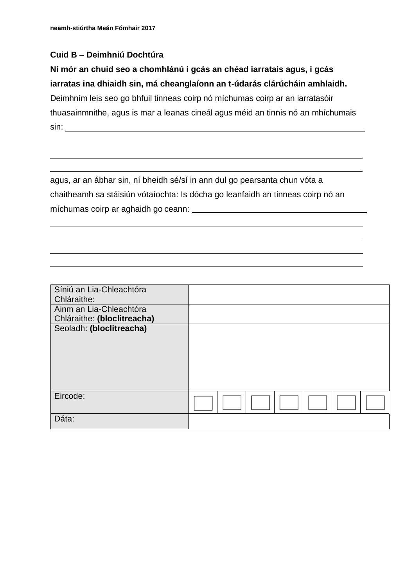## **Cuid B – Deimhniú Dochtúra**

# **Ní mór an chuid seo a chomhlánú i gcás an chéad iarratais agus, i gcás iarratas ina dhiaidh sin, má cheanglaíonn an t-údarás clárúcháin amhlaidh.**  Deimhním leis seo go bhfuil tinneas coirp nó míchumas coirp ar an iarratasóir

thuasainmnithe, agus is mar a leanas cineál agus méid an tinnis nó an mhíchumais sin:

agus, ar an ábhar sin, ní bheidh sé/sí in ann dul go pearsanta chun vóta a chaitheamh sa stáisiún vótaíochta: Is dócha go leanfaidh an tinneas coirp nó an míchumas coirp ar aghaidh go ceann:

| Síniú an Lia-Chleachtóra    |  |
|-----------------------------|--|
| Chláraithe:                 |  |
| Ainm an Lia-Chleachtóra     |  |
| Chláraithe: (bloclitreacha) |  |
| Seoladh: (bloclitreacha)    |  |
|                             |  |
|                             |  |
|                             |  |
|                             |  |
|                             |  |
|                             |  |
| Eircode:                    |  |
|                             |  |
| Dáta:                       |  |
|                             |  |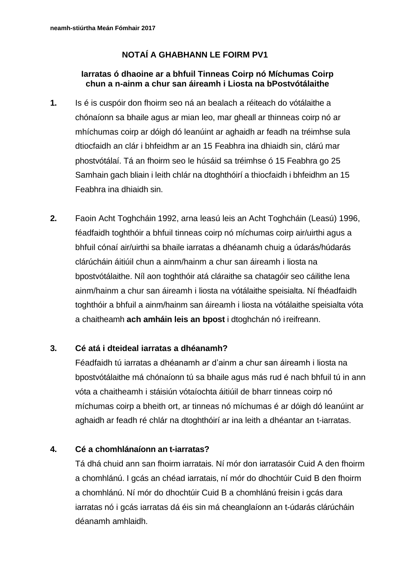## **NOTAÍ A GHABHANN LE FOIRM PV1**

## **Iarratas ó dhaoine ar a bhfuil Tinneas Coirp nó Míchumas Coirp chun a n-ainm a chur san áireamh i Liosta na bPostvótálaithe**

- **1.** Is é is cuspóir don fhoirm seo ná an bealach a réiteach do vótálaithe a chónaíonn sa bhaile agus ar mian leo, mar gheall ar thinneas coirp nó ar mhíchumas coirp ar dóigh dó leanúint ar aghaidh ar feadh na tréimhse sula dtiocfaidh an clár i bhfeidhm ar an 15 Feabhra ina dhiaidh sin, clárú mar phostvótálaí. Tá an fhoirm seo le húsáid sa tréimhse ó 15 Feabhra go 25 Samhain gach bliain i leith chlár na dtoghthóirí a thiocfaidh i bhfeidhm an 15 Feabhra ina dhiaidh sin.
- **2.** Faoin Acht Toghcháin 1992, arna leasú leis an Acht Toghcháin (Leasú) 1996, féadfaidh toghthóir a bhfuil tinneas coirp nó míchumas coirp air/uirthi agus a bhfuil cónaí air/uirthi sa bhaile iarratas a dhéanamh chuig a údarás/húdarás clárúcháin áitiúil chun a ainm/hainm a chur san áireamh i liosta na bpostvótálaithe. Níl aon toghthóir atá cláraithe sa chatagóir seo cáilithe lena ainm/hainm a chur san áireamh i liosta na vótálaithe speisialta. Ní fhéadfaidh toghthóir a bhfuil a ainm/hainm san áireamh i liosta na vótálaithe speisialta vóta a chaitheamh **ach amháin leis an bpost** i dtoghchán nó ireifreann.

## **3. Cé atá i dteideal iarratas a dhéanamh?**

Féadfaidh tú iarratas a dhéanamh ar d'ainm a chur san áireamh i liosta na bpostvótálaithe má chónaíonn tú sa bhaile agus más rud é nach bhfuil tú in ann vóta a chaitheamh i stáisiún vótaíochta áitiúil de bharr tinneas coirp nó míchumas coirp a bheith ort, ar tinneas nó míchumas é ar dóigh dó leanúint ar aghaidh ar feadh ré chlár na dtoghthóirí ar ina leith a dhéantar an t-iarratas.

### **4. Cé a chomhlánaíonn an t-iarratas?**

Tá dhá chuid ann san fhoirm iarratais. Ní mór don iarratasóir Cuid A den fhoirm a chomhlánú. I gcás an chéad iarratais, ní mór do dhochtúir Cuid B den fhoirm a chomhlánú. Ní mór do dhochtúir Cuid B a chomhlánú freisin i gcás dara iarratas nó i gcás iarratas dá éis sin má cheanglaíonn an t-údarás clárúcháin déanamh amhlaidh.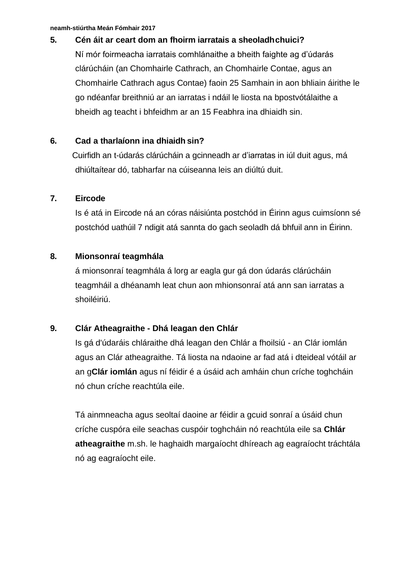## **5. Cén áit ar ceart dom an fhoirm iarratais a sheoladhchuici?**

Ní mór foirmeacha iarratais comhlánaithe a bheith faighte ag d'údarás clárúcháin (an Chomhairle Cathrach, an Chomhairle Contae, agus an Chomhairle Cathrach agus Contae) faoin 25 Samhain in aon bhliain áirithe le go ndéanfar breithniú ar an iarratas i ndáil le liosta na bpostvótálaithe a bheidh ag teacht i bhfeidhm ar an 15 Feabhra ina dhiaidh sin.

## **6. Cad a tharlaíonn ina dhiaidh sin?**

Cuirfidh an t-údarás clárúcháin a gcinneadh ar d'iarratas in iúl duit agus, má dhiúltaítear dó, tabharfar na cúiseanna leis an diúltú duit.

### **7. Eircode**

Is é atá in Eircode ná an córas náisiúnta postchód in Éirinn agus cuimsíonn sé postchód uathúil 7 ndigit atá sannta do gach seoladh dá bhfuil ann in Éirinn.

## **8. Mionsonraí teagmhála**

á mionsonraí teagmhála á lorg ar eagla gur gá don údarás clárúcháin teagmháil a dhéanamh leat chun aon mhionsonraí atá ann san iarratas a shoiléiriú.

## **9. Clár Atheagraithe - Dhá leagan den Chlár**

Is gá d'údaráis chláraithe dhá leagan den Chlár a fhoilsiú - an Clár iomlán agus an Clár atheagraithe. Tá liosta na ndaoine ar fad atá i dteideal vótáil ar an g**Clár iomlán** agus ní féidir é a úsáid ach amháin chun críche toghcháin nó chun críche reachtúla eile.

Tá ainmneacha agus seoltaí daoine ar féidir a gcuid sonraí a úsáid chun críche cuspóra eile seachas cuspóir toghcháin nó reachtúla eile sa **Chlár atheagraithe** m.sh. le haghaidh margaíocht dhíreach ag eagraíocht tráchtála nó ag eagraíocht eile.